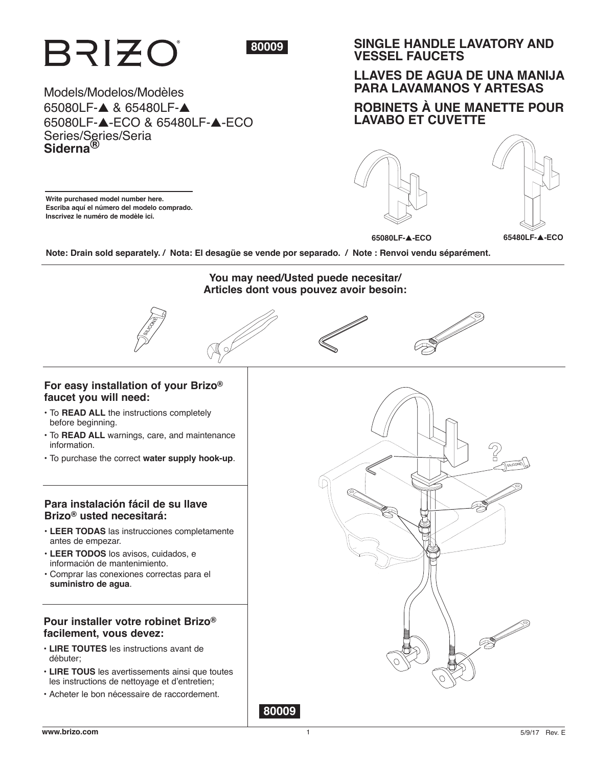

1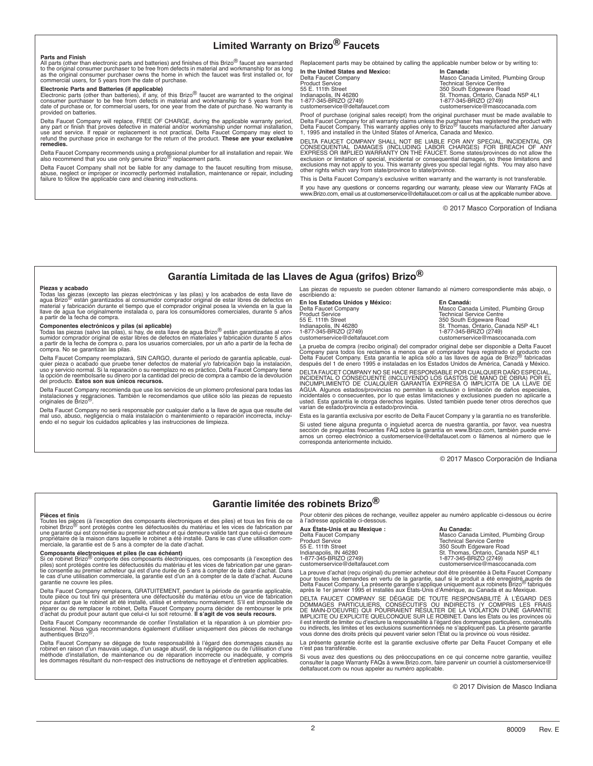## **Limited Warranty on Brizo® Faucets**

**Parts and Finish**<br>All parts (other than electronic parts and batteries) and finishes of this Brizo® faucet are warranted<br>to the original consumer purchaser to be free from defects in material and workmanship for as long<br>a commercial users, for 5 years from the date of purchase.

Electronic Parts and Batteries (if applicable)<br>Electronic parts (other than batteries), if any, of this Brizo® faucet are warranted to the original<br>consumer purchaser to be free from defects in material and workmanship for provided on batteries.

Delta Faucet Company will replace, FREE OF CHARGE, during the applicable warranty period,<br>any part or finish that proves defective in material and/or workmanship under normal installation,<br>use and service. If repair or rep

Delta Faucet Company recommends using a professional plumber for all installation and repair. We<br>also recommend that you use only genuine Brizo<sup>®</sup> replacement parts.

Delta Faucet Company shall not be liable for any damage to the faucet resulting from misuse,<br>abuse, neglect or improper or incorrectly performed installation, maintenance or repair, including<br>failure to follow the applicab

Replacement parts may be obtained by calling the applicable number below or by writing to:

**In the United States and Mexico: In Canada:** customerservice@deltafaucet.com

n and The Term of the Institute of the Masco Canada Limited, Plumbing Group<br>Delta Faucet Company Masco Canada Limited, Plumbing Group<br>Product Service Product Service<br>55 E. 111th Street 1980 Street 2000 Street 350 South Edgeware Road<br>1ndianapolis, IN 46280 St. Thomas, Ontario, Canada N5P 4L1 1-877-345-BRIZO (2749) 1-877-345-BRIZO (2749)

Proof of purchase (original sales receipt) from the original purchaser must be made available to Delta Faucet Company for all warranty claims unless the purchaser has registered the product with<br>Delta Faucet Company. This warranty applies only to Brizo<sup>15</sup> faucets manufactured after January<br>1, 1995 and installed in th

DELTA FAUCET COMPANY SHALL NOT BE LIABLE FOR ANY SPECIAL, INCIDENTAL OR CONSEQUENTIAL DAMAGES (INCLUDING LABOR CHARGES) FOR BREACH OF ANY<br>EXPRESS OR IMPLIED WARRANTY ON THE FAUCET. Some states/provinces do not allow the<br>exclusion or limitation of special, incidental or consequential damages, s exclusions may not apply to you. This warranty gives you special legal rights. You may also have other rights which vary from state/province to state/province.

This is Delta Faucet Company's exclusive written warranty and the warranty is not transferable. If you have any questions or concerns regarding our warranty, please view our Warranty FAQs at www.Brizo.com, email us at customerservice@deltafaucet.com or call us at the applicable number above.

© 2017 Masco Corporation of Indiana

## **Garantía Limitada de las Llaves de Agua (grifos) Brizo®**

#### **Piezas y acabado**

Todas las piezas (excepto las piezas electrónicas y las pilas) y los acabados de esta llave de<br>agua Brizo<sup>19</sup> están garantizados al consumidor comprador original de estar libres de defectos en agua Brizo<sup>f®</sup> están garantizados al consumidor comprador original de estar libres de defectos en<br>material y fabricación durante el tiempo que el comprador original posea la vivienda en la que la<br>Ilave de agua fue original a partir de la fecha de compra.

**Componentes electrónicos y pilas (si aplicable)**<br>Todas las piezas (salvo las pilas), si hay, de esta llave de agua Brizo<sup>®</sup> están garantizadas al con-<br>sumidor comprador original de estar libres de defectos en materiales y a partir de la fecha de compra o, para los usuarios comerciales, por un año a partir de la fecha de compra. No se garantizan las pilas.

Delta Faucet Company reemplazará, SIN CARGO, durante el período de garantía aplicable, cualquier pieza o acabado que pruebe tener defectos de material y/o fabricación bajo la instalación,<br>uso y servicio normal. Si la reparación o su reemplazo no es práctico, Delta Faucet Company tiene<br>la opción de reembolsarle s del producto. **Estos son sus únicos recursos.** 

Delta Faucet Company recomienda que use los servicios de un plomero profesional para todas las<br>instalaciones y reparaciones. También le recomendamos que utilice sólo las piezas de repuesto<br>originales de Brizo®.

Delta Faucet Company no será responsable por cualquier daño a la llave de agua que resulte del<br>mal uso, abuso, negligencia o mala instalación o mantenimiento o reparación incorrecta, incluy-<br>endo el no seguir los cuidados

Las piezas de repuesto se pueden obtener llamando al número correspondiente más abajo, o escribiendo a:

**En los Estados Unidos y México: En Canadá:** 1-877-345-BRIZO (2749) 1-877-345-BRIZO (2749)

Delta Faucet Company Masco Canada Limited, Plumbing Group Product Service Technical Service Centre 55 E. 111th Street<br>Indianapolis, IN 46280 St. Thomas, Ontario, Canada N5P 4L1 customerservice@mascocanada.com

La prueba de compra (recibo original) del comprador original debe ser disponible a Delta Faucet Company para todos los reclamos a menos que el comprador haya registrado el producto con<br>Delta Faucet Company. Esta garantía le aplica sólo a las llaves de agua de Brizo<sup>18</sup> fabricadas Delta Faucet Company. Esta garantía le aplica sólo a las llaves de agua de Brizo® fabricadas después del 1 de enero 1995 e instaladas en los Estados Unidos de América, Canadá y México.

DELTA FAUCET COMPANY NO SE HACE RESPONSABLE POR CUALQUIER DAÑO ESPECIAL,<br>INCIDENTAL O CONSECUENTE (INCLUYENDO LOS GASTOS DE MANO DE OBRA) POR EL<br>INCUMPLIMIENTO DE CUALQUIER GARANTÍA EXPRESA O IMPLÍCITA DE LA LLAVE DE AGUA. Algunos estados/provincias no permiten la exclusión o limitación de daños especiales,<br>incidentales o consecuentes, por lo que estas limitaciones y exclusiones pueden no aplicarle a<br>usted. Esta garantía le otorga dere varían de estado/provincia a estado/provincia.

Esta es la garantía exclusiva por escrito de Delta Faucet Company y la garantía no es transferible. Si usted tiene alguna pregunta o inquietud acerca de nuestra garantía, por favor, vea nuestra<br>sección de preguntas frecuentes FAQ sobre la garantía en www.Brizo.com, también puede envi-<br>arnos un correo electrónico a custom

© 2017 Masco Corporación de Indiana

## **Garantie limitée des robinets Brizo®**

#### **Pièces et finis**

Toutes les pièces (à l'exception des composants électroniques et des piles) et tous les finis de ce<br>robinet Brizo<sup>®</sup> sont protégés contre les défectuosités du matériau et les vices de fabrication par<br>une garantie qui est c merciale, la garantie est de 5 ans à compter de la date d'achat.

**Composants électroniques et piles (le cas échéant)**<br>Si ce robinet Brizo<sup>io</sup> comporte des composants électroniques, ces composants (à l'exception des<br>piles) sont protégés contre les défectuosités du matériau et les vices d tie consentie au premier acheteur qui est d'une durée de 5 ans à compter de la date d'achat. Dans le cas d'une utilisation commerciale, la garantie est d'un an à compter de la date d'achat. Aucune garantie ne couvre les piles.

Delta Faucet Company remplacera, GRATUITEMENT, pendant la période de garantie applicable,<br>toute pièce ou tout fini qui présentera une défectuosité du matériau et/ou un vice de fabrication<br>pour autant que le robinet ait été réparer ou de remplacer le robinet, Delta Faucet Company pourra décider de rembourser le prix d'achat du produit pour autant que celui-ci lui soit retourné. **Il s'agit de vos seuls recours.** 

Delta Faucet Company recommande de confier l'installation et la réparation à un plombier professionnel. Nous vous recommandons également d'utiliser uniquement des pièces de rechange<br>authentiques Brizo®.

Delta Faucet Company se dégage de toute responsabilité à l'égard des dommages causés au robinet en raison d'un mauvais usage, d'un usage abusif, de la négligence ou de l'utilisation d'une<br>méthode d'installation, de maintenance ou de réparation incorrecte ou inadéquate, y compris<br>les dommages résultant du nonPour obtenir des pièces de rechange, veuillez appeler au numéro applicable ci-dessous ou écrire à l'adresse applicable ci-dessous.

**Aux États-Unis et au Mexique : <br>
Delta Faucet Company Masco Canada:<br>
Product Service<br>
55 E. 111th Street<br>
55 E. 111th Street** 1-877-345-BRIZO (2749)<br>customerservice@deltafaucet.com

Delta Faucet Company Masco Canada Limited, Plumbing Group Product Service Technical Service Centre 55 E. 111th Street 350 South Edgeware Road Indianapolis, IN 46280 St. Thomas, Ontario, Canada N5P 4L1 customerservice@deltafaucet.com customerservice@mascocanada.com

La preuve d'achat (reçu original) du premier acheteur doit être présentée à Delta Faucet Company pour toutes les demandes en vertu de la garantie, sauf si le produit a été enregistré auprès de<br>Delta Faucet Company. La présente garantie s'applique uniquement aux robinets Brizo<sup>r®</sup> fabriqués<br>après le 1er janvier 1995 et

DELTA FAUCET COMPANY SE DEGAGE DE TOUTE RESPONSABILITE A L'EGARD DES<br>DOMMAGES PARTICULIERS, CONSÉCUTIFS OU INDIRECTS (Y COMPRIS LES FRAIS<br>DE MAIN-D'OEUVRE) QUI POURRAIENT RÉSULTER DE LA VIOLATION D'UNE GARANTIE<br>IMPLICITE O il est interdit de limiter ou d'exclure la responsabilité à l'égard des dommages particuliers, consécutifs<br>ou indirects, les limites et les exclusions susmentionnées ne s'appliquent pas. La présente garantie<br>vous donne des

La présente garantie écrite est la garantie exclusive offerte par Delta Faucet Company et elle n'est pas transférable.

Si vous avez des questions ou des préoccupations en ce qui concerne notre garantie, veuillez<br>consulter la page Warranty FAQs à www.Brizo.com, faire parvenir un courriel à customerservice@<br>deltafaucet.com ou nous appeler au

© 2017 Division de Masco Indiana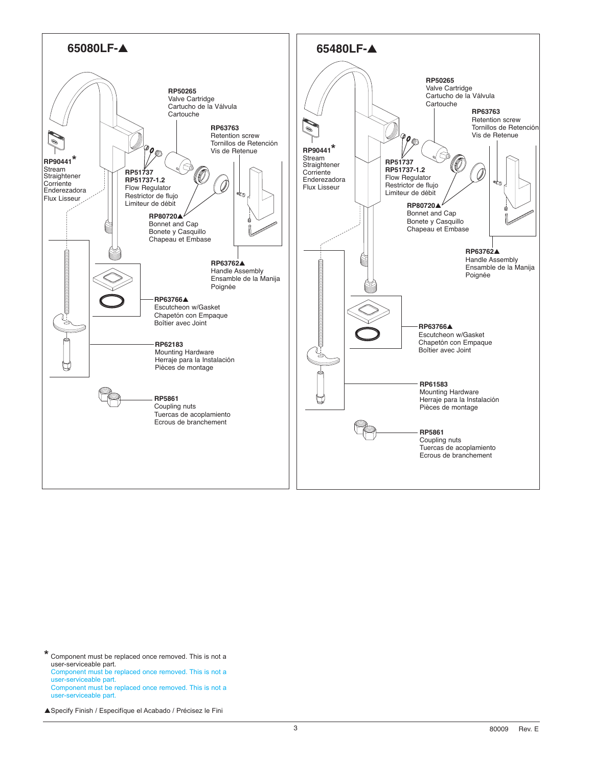

**\*** Component must be replaced once removed. This is not a user-serviceable part. Component must be replaced once removed. This is not a user-serviceable part. Component must be replaced once removed. This is not a user-serviceable part.

▲ Specify Finish / Especifíque el Acabado / Précisez le Fini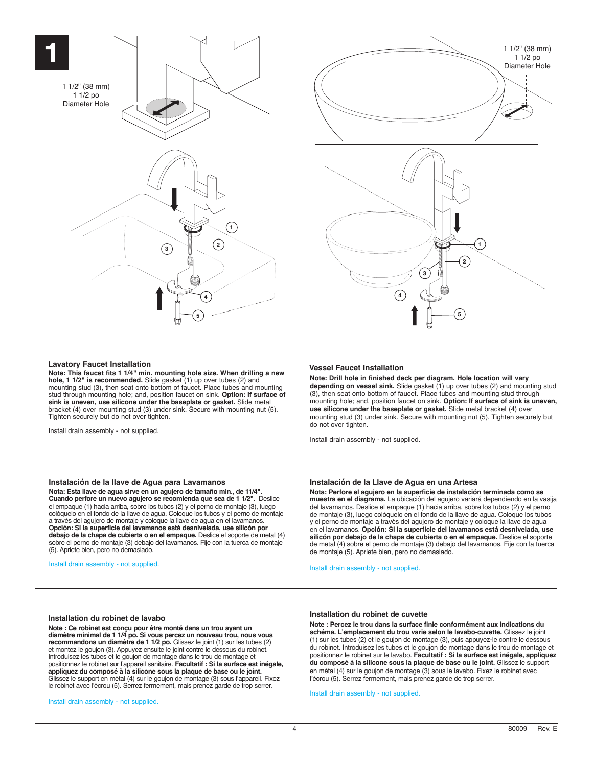



#### **Lavatory Faucet Installation**

**Note: This faucet fits 1 1/4" min. mounting hole size. When drilling a new hole, 1 1/2" is recommended.** Slide gasket (1) up over tubes (2) and mounting stud (3), then seat onto bottom of faucet. Place tubes and mounting stud through mounting hole; and, position faucet on sink. **Option: If surface of sink is uneven, use silicone under the baseplate or gasket.** Slide metal bracket (4) over mounting stud (3) under sink. Secure with mounting nut (5). Tighten securely but do not over tighten.

Install drain assembly - not supplied.

**Instalación de la llave de Agua para Lavamanos Nota: Esta llave de agua sirve en un agujero de tamaño min., de 11/4". Cuando perfore un nuevo agujero se recomienda que sea de 1 1/2".** Deslice el empaque (1) hacia arriba, sobre los tubos (2) y el perno de montaje (3), luego colóquelo en el fondo de la llave de agua. Coloque los tubos y el perno de montaje a través del agujero de montaje y coloque la llave de agua en el lavamanos. **Opción: Si la superficie del lavamanos está desnivelada, use silicón por debajo de la chapa de cubierta o en el empaque.** Deslice el soporte de metal (4) sobre el perno de montaje (3) debajo del lavamanos. Fije con la tuerca de montaje

(5). Apriete bien, pero no demasiado. Install drain assembly - not supplied.

#### **Vessel Faucet Installation**

**Note: Drill hole in finished deck per diagram. Hole location will vary depending on vessel sink.** Slide gasket (1) up over tubes (2) and mounting stud (3), then seat onto bottom of faucet. Place tubes and mounting stud through mounting hole; and, position faucet on sink. **Option: If surface of sink is uneven, use silicone under the baseplate or gasket.** Slide metal bracket (4) over mounting stud (3) under sink. Secure with mounting nut (5). Tighten securely but do not over tighten.

Install drain assembly - not supplied.

### **Instalación de la Llave de Agua en una Artesa**

**Nota: Perfore el agujero en la superficie de instalación terminada como se muestra en el diagrama.** La ubicación del agujero variará dependiendo en la vasija del lavamanos. Deslice el empaque (1) hacia arriba, sobre los tubos (2) y el perno de montaje (3), luego colóquelo en el fondo de la llave de agua. Coloque los tubos y el perno de montaje a través del agujero de montaje y coloque la llave de agua en el lavamanos. **Opción: Si la superficie del lavamanos está desnivelada, use silicón por debajo de la chapa de cubierta o en el empaque.** Deslice el soporte de metal (4) sobre el perno de montaje (3) debajo del lavamanos. Fije con la tuerca de montaje (5). Apriete bien, pero no demasiado.

Install drain assembly - not supplied.

### **Installation du robinet de lavabo**

**Note : Ce robinet est conçu pour être monté dans un trou ayant un diamètre minimal de 1 1/4 po. Si vous percez un nouveau trou, nous vous recommandons un diamètre de 1 1/2 po.** Glissez le joint (1) sur les tubes (2) et montez le goujon (3). Appuyez ensuite le joint contre le dessous du robinet.<br>Introduisez les tubes et le goujon de montage dans le trou de montage et<br>positionnez le robinet sur l'appareil sanitaire. **Facultatif : Si la appliquez du composé à la silicone sous la plaque de base ou le joint.** Glissez le support en métal (4) sur le goujon de montage (3) sous l'appareil. Fixez le robinet avec l'écrou (5). Serrez fermement, mais prenez garde de trop serrer.

Install drain assembly - not supplied.

#### **Installation du robinet de cuvette**

**Note : Percez le trou dans la surface finie conformément aux indications du schéma. L'emplacement du trou varie selon le lavabo-cuvette.** Glissez le joint (1) sur les tubes (2) et le goujon de montage (3), puis appuyez-le contre le dessous du robinet. Introduisez les tubes et le goujon de montage dans le trou de montage et positionnez le robinet sur le lavabo. **Facultatif : Si la surface est inégale, appliquez du composé à la silicone sous la plaque de base ou le joint.** Glissez le support en métal (4) sur le goujon de montage (3) sous le lavabo. Fixez le robinet avec l'écrou (5). Serrez fermement, mais prenez garde de trop serrer.

Install drain assembly - not supplied.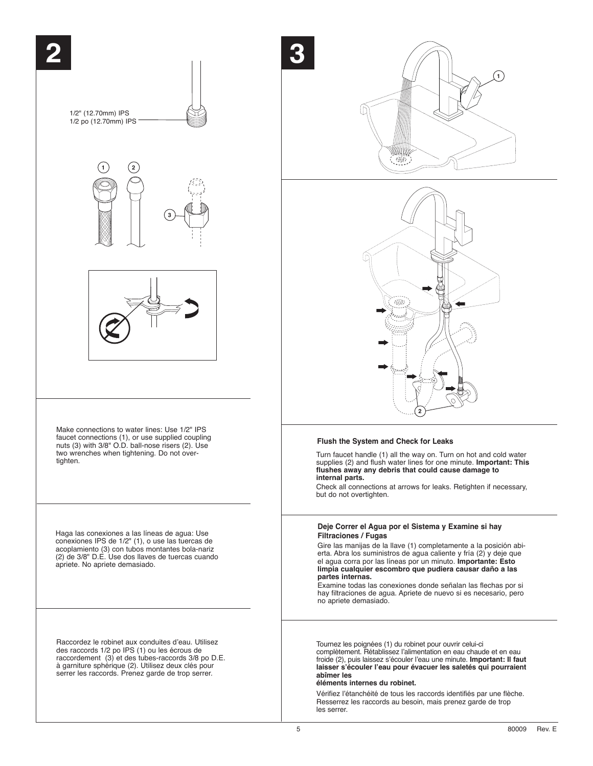





### **Flush the System and Check for Leaks**

Turn faucet handle (1) all the way on. Turn on hot and cold water supplies (2) and flush water lines for one minute. **Important: This flushes away any debris that could cause damage to internal parts.**

Check all connections at arrows for leaks. Retighten if necessary, but do not overtighten.

### **Deje Correr el Agua por el Sistema y Examine si hay Filtraciones / Fugas**

Gire las manijas de la llave (1) completamente a la posición abierta. Abra los suministros de agua caliente y fría (2) y deje que el agua corra por las líneas por un minuto. **Importante: Esto limpia cualquier escombro que pudiera causar daño a las partes internas.**

Examine todas las conexiones donde señalan las flechas por si hay filtraciones de agua. Apriete de nuevo si es necesario, pero no apriete demasiado.

Tournez les poignées (1) du robinet pour ouvrir celui-ci complètement. Rétablissez l'alimentation en eau chaude et en eau froide (2), puis laissez s'écouler l'eau une minute. **Important: Il faut laisser s'écouler l'eau pour évacuer les saletés qui pourraient abîmer les** 

### **éléments internes du robinet.**

Vérifiez l'étanchéité de tous les raccords identifiés par une flèche. Resserrez les raccords au besoin, mais prenez garde de trop les serrer.

**3**